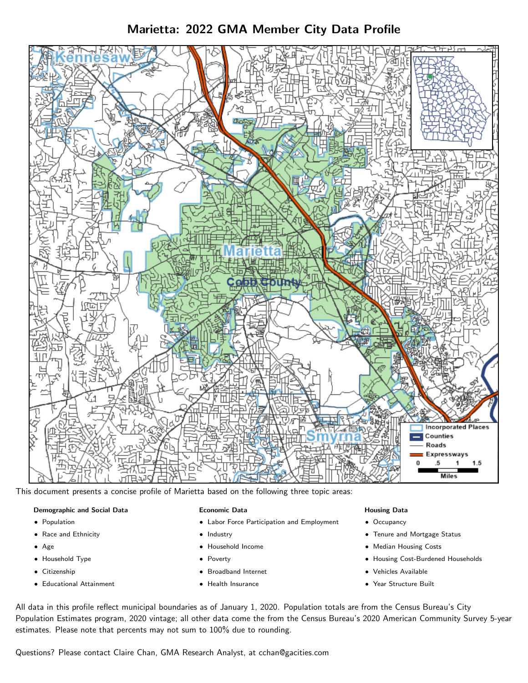# Marietta: 2022 GMA Member City Data Profile



This document presents a concise profile of Marietta based on the following three topic areas:

#### Demographic and Social Data

- **•** Population
- Race and Ethnicity
- Age
- Household Type
- **Citizenship**
- Educational Attainment

#### Economic Data

- Labor Force Participation and Employment
- Industry
- Household Income
- Poverty
- Broadband Internet
- Health Insurance

#### Housing Data

- Occupancy
- Tenure and Mortgage Status
- Median Housing Costs
- Housing Cost-Burdened Households
- Vehicles Available
- Year Structure Built

All data in this profile reflect municipal boundaries as of January 1, 2020. Population totals are from the Census Bureau's City Population Estimates program, 2020 vintage; all other data come the from the Census Bureau's 2020 American Community Survey 5-year estimates. Please note that percents may not sum to 100% due to rounding.

Questions? Please contact Claire Chan, GMA Research Analyst, at [cchan@gacities.com.](mailto:cchan@gacities.com)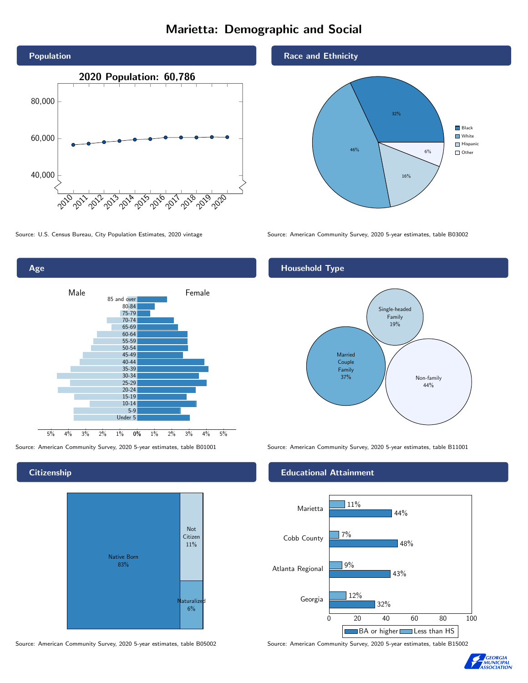# Marietta: Demographic and Social





### **Citizenship**



Source: American Community Survey, 2020 5-year estimates, table B05002 Source: American Community Survey, 2020 5-year estimates, table B15002

### Race and Ethnicity



Source: U.S. Census Bureau, City Population Estimates, 2020 vintage Source: American Community Survey, 2020 5-year estimates, table B03002

## Household Type



Source: American Community Survey, 2020 5-year estimates, table B01001 Source: American Community Survey, 2020 5-year estimates, table B11001

### Educational Attainment



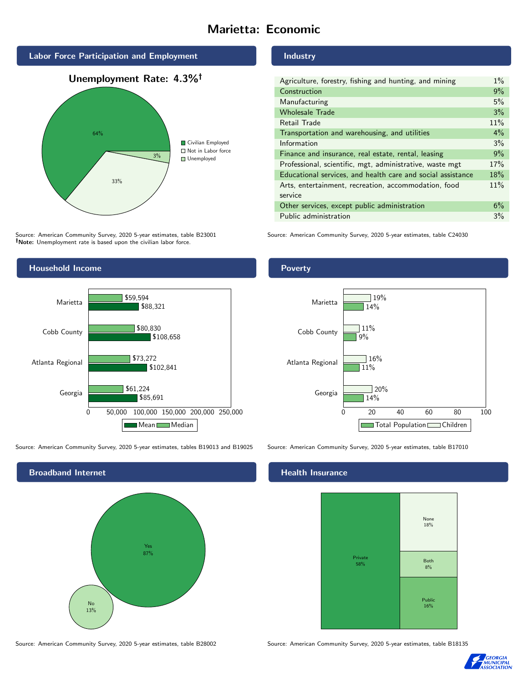# Marietta: Economic



Source: American Community Survey, 2020 5-year estimates, table B23001 Note: Unemployment rate is based upon the civilian labor force.



Source: American Community Survey, 2020 5-year estimates, tables B19013 and B19025 Source: American Community Survey, 2020 5-year estimates, table B17010



Source: American Community Survey, 2020 5-year estimates, table B28002 Source: American Community Survey, 2020 5-year estimates, table B18135

#### Industry

| Agriculture, forestry, fishing and hunting, and mining      | $1\%$ |
|-------------------------------------------------------------|-------|
| Construction                                                | 9%    |
| Manufacturing                                               | 5%    |
| <b>Wholesale Trade</b>                                      | 3%    |
| Retail Trade                                                | 11%   |
| Transportation and warehousing, and utilities               | $4\%$ |
| Information                                                 | 3%    |
| Finance and insurance, real estate, rental, leasing         | 9%    |
| Professional, scientific, mgt, administrative, waste mgt    | 17%   |
| Educational services, and health care and social assistance | 18%   |
| Arts, entertainment, recreation, accommodation, food        | 11%   |
| service                                                     |       |
| Other services, except public administration                | 6%    |
| Public administration                                       | 3%    |

Source: American Community Survey, 2020 5-year estimates, table C24030

### Poverty



## **Health Insurance**